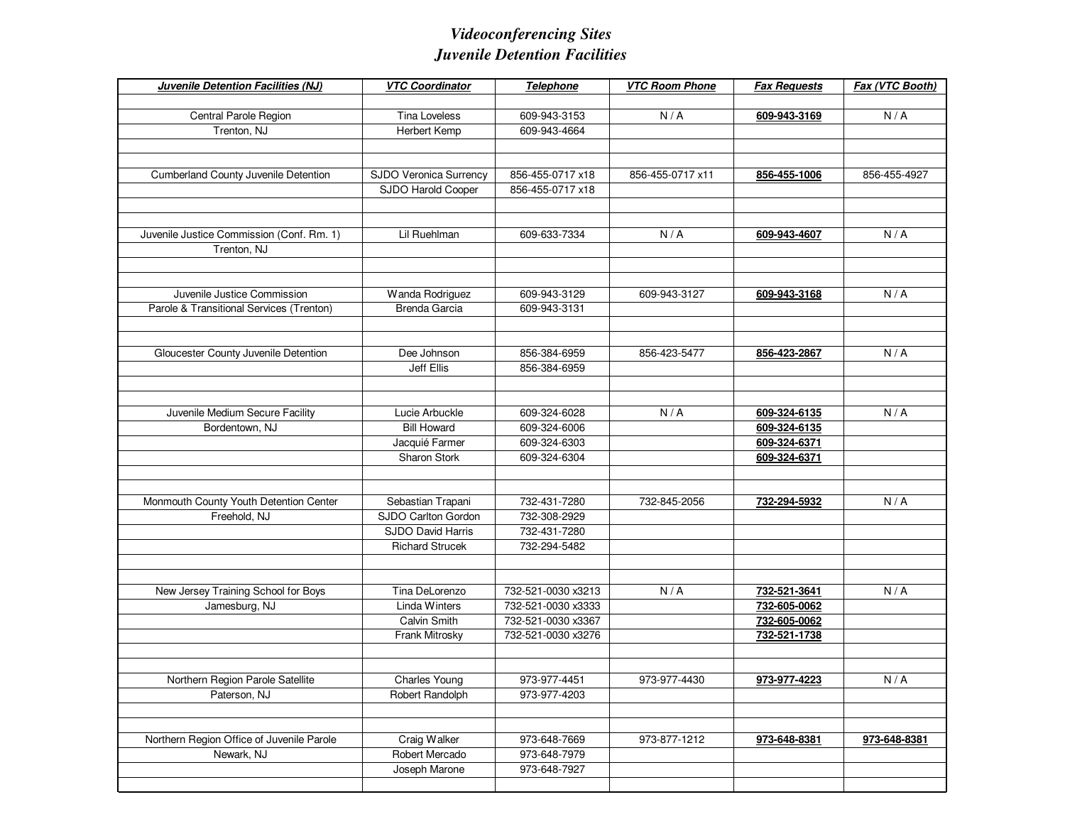## *Videoconferencing SitesJuvenile Detention Facilities*

| N/A<br>N/A<br>Central Parole Region<br><b>Tina Loveless</b><br>609-943-3153<br>609-943-3169<br>609-943-4664<br>Trenton, NJ<br>Herbert Kemp<br><b>Cumberland County Juvenile Detention</b><br>SJDO Veronica Surrency<br>856-455-0717 x18<br>856-455-0717 x11<br>856-455-4927<br>856-455-1006<br>SJDO Harold Cooper<br>856-455-0717 x18<br>Lil Ruehlman<br>Juvenile Justice Commission (Conf. Rm. 1)<br>609-633-7334<br>N/A<br>N/A<br>609-943-4607<br>Trenton, NJ<br>N/A<br>Juvenile Justice Commission<br>Wanda Rodriguez<br>609-943-3129<br>609-943-3127<br>609-943-3168<br>Parole & Transitional Services (Trenton)<br><b>Brenda Garcia</b><br>609-943-3131<br>Gloucester County Juvenile Detention<br>Dee Johnson<br>856-384-6959<br>N/A<br>856-423-5477<br>856-423-2867<br>Jeff Ellis<br>856-384-6959<br>Juvenile Medium Secure Facility<br>Lucie Arbuckle<br>609-324-6028<br>N/A<br>609-324-6135<br>N/A<br><b>Bill Howard</b><br>Bordentown, NJ<br>609-324-6006<br>609-324-6135<br>Jacquié Farmer<br>609-324-6371<br>609-324-6303<br>Sharon Stork<br>609-324-6304<br>609-324-6371<br>Monmouth County Youth Detention Center<br>732-431-7280<br>Sebastian Trapani<br>732-845-2056<br>732-294-5932<br>N/A<br>SJDO Carlton Gordon<br>Freehold, NJ<br>732-308-2929<br>SJDO David Harris<br>732-431-7280<br><b>Richard Strucek</b><br>732-294-5482<br>New Jersey Training School for Boys<br>Tina DeLorenzo<br>732-521-0030 x3213<br>N/A<br>N/A<br>732-521-3641<br>Jamesburg, NJ<br>Linda Winters<br>732-521-0030 x3333<br>732-605-0062<br>Calvin Smith<br>732-521-0030 x3367<br>732-605-0062<br>732-521-0030 x3276<br>Frank Mitrosky<br>732-521-1738<br>N/A<br>Northern Region Parole Satellite<br>Charles Young<br>973-977-4451<br>973-977-4430<br>973-977-4223<br>Paterson, NJ<br>Robert Randolph<br>973-977-4203<br>Northern Region Office of Juvenile Parole<br>Craig Walker<br>973-648-7669<br>973-877-1212<br>973-648-8381<br>973-648-8381<br>Robert Mercado<br>Newark, NJ<br>973-648-7979<br>Joseph Marone<br>973-648-7927 | Juvenile Detention Facilities (NJ) | <b>VTC Coordinator</b> | Telephone | <b>VTC Room Phone</b> | <b>Fax Requests</b> | Fax (VTC Booth) |
|-----------------------------------------------------------------------------------------------------------------------------------------------------------------------------------------------------------------------------------------------------------------------------------------------------------------------------------------------------------------------------------------------------------------------------------------------------------------------------------------------------------------------------------------------------------------------------------------------------------------------------------------------------------------------------------------------------------------------------------------------------------------------------------------------------------------------------------------------------------------------------------------------------------------------------------------------------------------------------------------------------------------------------------------------------------------------------------------------------------------------------------------------------------------------------------------------------------------------------------------------------------------------------------------------------------------------------------------------------------------------------------------------------------------------------------------------------------------------------------------------------------------------------------------------------------------------------------------------------------------------------------------------------------------------------------------------------------------------------------------------------------------------------------------------------------------------------------------------------------------------------------------------------------------------------------------------------------------------------------------------------------------------------------|------------------------------------|------------------------|-----------|-----------------------|---------------------|-----------------|
|                                                                                                                                                                                                                                                                                                                                                                                                                                                                                                                                                                                                                                                                                                                                                                                                                                                                                                                                                                                                                                                                                                                                                                                                                                                                                                                                                                                                                                                                                                                                                                                                                                                                                                                                                                                                                                                                                                                                                                                                                                   |                                    |                        |           |                       |                     |                 |
|                                                                                                                                                                                                                                                                                                                                                                                                                                                                                                                                                                                                                                                                                                                                                                                                                                                                                                                                                                                                                                                                                                                                                                                                                                                                                                                                                                                                                                                                                                                                                                                                                                                                                                                                                                                                                                                                                                                                                                                                                                   |                                    |                        |           |                       |                     |                 |
|                                                                                                                                                                                                                                                                                                                                                                                                                                                                                                                                                                                                                                                                                                                                                                                                                                                                                                                                                                                                                                                                                                                                                                                                                                                                                                                                                                                                                                                                                                                                                                                                                                                                                                                                                                                                                                                                                                                                                                                                                                   |                                    |                        |           |                       |                     |                 |
|                                                                                                                                                                                                                                                                                                                                                                                                                                                                                                                                                                                                                                                                                                                                                                                                                                                                                                                                                                                                                                                                                                                                                                                                                                                                                                                                                                                                                                                                                                                                                                                                                                                                                                                                                                                                                                                                                                                                                                                                                                   |                                    |                        |           |                       |                     |                 |
|                                                                                                                                                                                                                                                                                                                                                                                                                                                                                                                                                                                                                                                                                                                                                                                                                                                                                                                                                                                                                                                                                                                                                                                                                                                                                                                                                                                                                                                                                                                                                                                                                                                                                                                                                                                                                                                                                                                                                                                                                                   |                                    |                        |           |                       |                     |                 |
|                                                                                                                                                                                                                                                                                                                                                                                                                                                                                                                                                                                                                                                                                                                                                                                                                                                                                                                                                                                                                                                                                                                                                                                                                                                                                                                                                                                                                                                                                                                                                                                                                                                                                                                                                                                                                                                                                                                                                                                                                                   |                                    |                        |           |                       |                     |                 |
|                                                                                                                                                                                                                                                                                                                                                                                                                                                                                                                                                                                                                                                                                                                                                                                                                                                                                                                                                                                                                                                                                                                                                                                                                                                                                                                                                                                                                                                                                                                                                                                                                                                                                                                                                                                                                                                                                                                                                                                                                                   |                                    |                        |           |                       |                     |                 |
|                                                                                                                                                                                                                                                                                                                                                                                                                                                                                                                                                                                                                                                                                                                                                                                                                                                                                                                                                                                                                                                                                                                                                                                                                                                                                                                                                                                                                                                                                                                                                                                                                                                                                                                                                                                                                                                                                                                                                                                                                                   |                                    |                        |           |                       |                     |                 |
|                                                                                                                                                                                                                                                                                                                                                                                                                                                                                                                                                                                                                                                                                                                                                                                                                                                                                                                                                                                                                                                                                                                                                                                                                                                                                                                                                                                                                                                                                                                                                                                                                                                                                                                                                                                                                                                                                                                                                                                                                                   |                                    |                        |           |                       |                     |                 |
|                                                                                                                                                                                                                                                                                                                                                                                                                                                                                                                                                                                                                                                                                                                                                                                                                                                                                                                                                                                                                                                                                                                                                                                                                                                                                                                                                                                                                                                                                                                                                                                                                                                                                                                                                                                                                                                                                                                                                                                                                                   |                                    |                        |           |                       |                     |                 |
|                                                                                                                                                                                                                                                                                                                                                                                                                                                                                                                                                                                                                                                                                                                                                                                                                                                                                                                                                                                                                                                                                                                                                                                                                                                                                                                                                                                                                                                                                                                                                                                                                                                                                                                                                                                                                                                                                                                                                                                                                                   |                                    |                        |           |                       |                     |                 |
|                                                                                                                                                                                                                                                                                                                                                                                                                                                                                                                                                                                                                                                                                                                                                                                                                                                                                                                                                                                                                                                                                                                                                                                                                                                                                                                                                                                                                                                                                                                                                                                                                                                                                                                                                                                                                                                                                                                                                                                                                                   |                                    |                        |           |                       |                     |                 |
|                                                                                                                                                                                                                                                                                                                                                                                                                                                                                                                                                                                                                                                                                                                                                                                                                                                                                                                                                                                                                                                                                                                                                                                                                                                                                                                                                                                                                                                                                                                                                                                                                                                                                                                                                                                                                                                                                                                                                                                                                                   |                                    |                        |           |                       |                     |                 |
|                                                                                                                                                                                                                                                                                                                                                                                                                                                                                                                                                                                                                                                                                                                                                                                                                                                                                                                                                                                                                                                                                                                                                                                                                                                                                                                                                                                                                                                                                                                                                                                                                                                                                                                                                                                                                                                                                                                                                                                                                                   |                                    |                        |           |                       |                     |                 |
|                                                                                                                                                                                                                                                                                                                                                                                                                                                                                                                                                                                                                                                                                                                                                                                                                                                                                                                                                                                                                                                                                                                                                                                                                                                                                                                                                                                                                                                                                                                                                                                                                                                                                                                                                                                                                                                                                                                                                                                                                                   |                                    |                        |           |                       |                     |                 |
|                                                                                                                                                                                                                                                                                                                                                                                                                                                                                                                                                                                                                                                                                                                                                                                                                                                                                                                                                                                                                                                                                                                                                                                                                                                                                                                                                                                                                                                                                                                                                                                                                                                                                                                                                                                                                                                                                                                                                                                                                                   |                                    |                        |           |                       |                     |                 |
|                                                                                                                                                                                                                                                                                                                                                                                                                                                                                                                                                                                                                                                                                                                                                                                                                                                                                                                                                                                                                                                                                                                                                                                                                                                                                                                                                                                                                                                                                                                                                                                                                                                                                                                                                                                                                                                                                                                                                                                                                                   |                                    |                        |           |                       |                     |                 |
|                                                                                                                                                                                                                                                                                                                                                                                                                                                                                                                                                                                                                                                                                                                                                                                                                                                                                                                                                                                                                                                                                                                                                                                                                                                                                                                                                                                                                                                                                                                                                                                                                                                                                                                                                                                                                                                                                                                                                                                                                                   |                                    |                        |           |                       |                     |                 |
|                                                                                                                                                                                                                                                                                                                                                                                                                                                                                                                                                                                                                                                                                                                                                                                                                                                                                                                                                                                                                                                                                                                                                                                                                                                                                                                                                                                                                                                                                                                                                                                                                                                                                                                                                                                                                                                                                                                                                                                                                                   |                                    |                        |           |                       |                     |                 |
|                                                                                                                                                                                                                                                                                                                                                                                                                                                                                                                                                                                                                                                                                                                                                                                                                                                                                                                                                                                                                                                                                                                                                                                                                                                                                                                                                                                                                                                                                                                                                                                                                                                                                                                                                                                                                                                                                                                                                                                                                                   |                                    |                        |           |                       |                     |                 |
|                                                                                                                                                                                                                                                                                                                                                                                                                                                                                                                                                                                                                                                                                                                                                                                                                                                                                                                                                                                                                                                                                                                                                                                                                                                                                                                                                                                                                                                                                                                                                                                                                                                                                                                                                                                                                                                                                                                                                                                                                                   |                                    |                        |           |                       |                     |                 |
|                                                                                                                                                                                                                                                                                                                                                                                                                                                                                                                                                                                                                                                                                                                                                                                                                                                                                                                                                                                                                                                                                                                                                                                                                                                                                                                                                                                                                                                                                                                                                                                                                                                                                                                                                                                                                                                                                                                                                                                                                                   |                                    |                        |           |                       |                     |                 |
|                                                                                                                                                                                                                                                                                                                                                                                                                                                                                                                                                                                                                                                                                                                                                                                                                                                                                                                                                                                                                                                                                                                                                                                                                                                                                                                                                                                                                                                                                                                                                                                                                                                                                                                                                                                                                                                                                                                                                                                                                                   |                                    |                        |           |                       |                     |                 |
|                                                                                                                                                                                                                                                                                                                                                                                                                                                                                                                                                                                                                                                                                                                                                                                                                                                                                                                                                                                                                                                                                                                                                                                                                                                                                                                                                                                                                                                                                                                                                                                                                                                                                                                                                                                                                                                                                                                                                                                                                                   |                                    |                        |           |                       |                     |                 |
|                                                                                                                                                                                                                                                                                                                                                                                                                                                                                                                                                                                                                                                                                                                                                                                                                                                                                                                                                                                                                                                                                                                                                                                                                                                                                                                                                                                                                                                                                                                                                                                                                                                                                                                                                                                                                                                                                                                                                                                                                                   |                                    |                        |           |                       |                     |                 |
|                                                                                                                                                                                                                                                                                                                                                                                                                                                                                                                                                                                                                                                                                                                                                                                                                                                                                                                                                                                                                                                                                                                                                                                                                                                                                                                                                                                                                                                                                                                                                                                                                                                                                                                                                                                                                                                                                                                                                                                                                                   |                                    |                        |           |                       |                     |                 |
|                                                                                                                                                                                                                                                                                                                                                                                                                                                                                                                                                                                                                                                                                                                                                                                                                                                                                                                                                                                                                                                                                                                                                                                                                                                                                                                                                                                                                                                                                                                                                                                                                                                                                                                                                                                                                                                                                                                                                                                                                                   |                                    |                        |           |                       |                     |                 |
|                                                                                                                                                                                                                                                                                                                                                                                                                                                                                                                                                                                                                                                                                                                                                                                                                                                                                                                                                                                                                                                                                                                                                                                                                                                                                                                                                                                                                                                                                                                                                                                                                                                                                                                                                                                                                                                                                                                                                                                                                                   |                                    |                        |           |                       |                     |                 |
|                                                                                                                                                                                                                                                                                                                                                                                                                                                                                                                                                                                                                                                                                                                                                                                                                                                                                                                                                                                                                                                                                                                                                                                                                                                                                                                                                                                                                                                                                                                                                                                                                                                                                                                                                                                                                                                                                                                                                                                                                                   |                                    |                        |           |                       |                     |                 |
|                                                                                                                                                                                                                                                                                                                                                                                                                                                                                                                                                                                                                                                                                                                                                                                                                                                                                                                                                                                                                                                                                                                                                                                                                                                                                                                                                                                                                                                                                                                                                                                                                                                                                                                                                                                                                                                                                                                                                                                                                                   |                                    |                        |           |                       |                     |                 |
|                                                                                                                                                                                                                                                                                                                                                                                                                                                                                                                                                                                                                                                                                                                                                                                                                                                                                                                                                                                                                                                                                                                                                                                                                                                                                                                                                                                                                                                                                                                                                                                                                                                                                                                                                                                                                                                                                                                                                                                                                                   |                                    |                        |           |                       |                     |                 |
|                                                                                                                                                                                                                                                                                                                                                                                                                                                                                                                                                                                                                                                                                                                                                                                                                                                                                                                                                                                                                                                                                                                                                                                                                                                                                                                                                                                                                                                                                                                                                                                                                                                                                                                                                                                                                                                                                                                                                                                                                                   |                                    |                        |           |                       |                     |                 |
|                                                                                                                                                                                                                                                                                                                                                                                                                                                                                                                                                                                                                                                                                                                                                                                                                                                                                                                                                                                                                                                                                                                                                                                                                                                                                                                                                                                                                                                                                                                                                                                                                                                                                                                                                                                                                                                                                                                                                                                                                                   |                                    |                        |           |                       |                     |                 |
|                                                                                                                                                                                                                                                                                                                                                                                                                                                                                                                                                                                                                                                                                                                                                                                                                                                                                                                                                                                                                                                                                                                                                                                                                                                                                                                                                                                                                                                                                                                                                                                                                                                                                                                                                                                                                                                                                                                                                                                                                                   |                                    |                        |           |                       |                     |                 |
|                                                                                                                                                                                                                                                                                                                                                                                                                                                                                                                                                                                                                                                                                                                                                                                                                                                                                                                                                                                                                                                                                                                                                                                                                                                                                                                                                                                                                                                                                                                                                                                                                                                                                                                                                                                                                                                                                                                                                                                                                                   |                                    |                        |           |                       |                     |                 |
|                                                                                                                                                                                                                                                                                                                                                                                                                                                                                                                                                                                                                                                                                                                                                                                                                                                                                                                                                                                                                                                                                                                                                                                                                                                                                                                                                                                                                                                                                                                                                                                                                                                                                                                                                                                                                                                                                                                                                                                                                                   |                                    |                        |           |                       |                     |                 |
|                                                                                                                                                                                                                                                                                                                                                                                                                                                                                                                                                                                                                                                                                                                                                                                                                                                                                                                                                                                                                                                                                                                                                                                                                                                                                                                                                                                                                                                                                                                                                                                                                                                                                                                                                                                                                                                                                                                                                                                                                                   |                                    |                        |           |                       |                     |                 |
|                                                                                                                                                                                                                                                                                                                                                                                                                                                                                                                                                                                                                                                                                                                                                                                                                                                                                                                                                                                                                                                                                                                                                                                                                                                                                                                                                                                                                                                                                                                                                                                                                                                                                                                                                                                                                                                                                                                                                                                                                                   |                                    |                        |           |                       |                     |                 |
|                                                                                                                                                                                                                                                                                                                                                                                                                                                                                                                                                                                                                                                                                                                                                                                                                                                                                                                                                                                                                                                                                                                                                                                                                                                                                                                                                                                                                                                                                                                                                                                                                                                                                                                                                                                                                                                                                                                                                                                                                                   |                                    |                        |           |                       |                     |                 |
|                                                                                                                                                                                                                                                                                                                                                                                                                                                                                                                                                                                                                                                                                                                                                                                                                                                                                                                                                                                                                                                                                                                                                                                                                                                                                                                                                                                                                                                                                                                                                                                                                                                                                                                                                                                                                                                                                                                                                                                                                                   |                                    |                        |           |                       |                     |                 |
|                                                                                                                                                                                                                                                                                                                                                                                                                                                                                                                                                                                                                                                                                                                                                                                                                                                                                                                                                                                                                                                                                                                                                                                                                                                                                                                                                                                                                                                                                                                                                                                                                                                                                                                                                                                                                                                                                                                                                                                                                                   |                                    |                        |           |                       |                     |                 |
|                                                                                                                                                                                                                                                                                                                                                                                                                                                                                                                                                                                                                                                                                                                                                                                                                                                                                                                                                                                                                                                                                                                                                                                                                                                                                                                                                                                                                                                                                                                                                                                                                                                                                                                                                                                                                                                                                                                                                                                                                                   |                                    |                        |           |                       |                     |                 |
|                                                                                                                                                                                                                                                                                                                                                                                                                                                                                                                                                                                                                                                                                                                                                                                                                                                                                                                                                                                                                                                                                                                                                                                                                                                                                                                                                                                                                                                                                                                                                                                                                                                                                                                                                                                                                                                                                                                                                                                                                                   |                                    |                        |           |                       |                     |                 |
|                                                                                                                                                                                                                                                                                                                                                                                                                                                                                                                                                                                                                                                                                                                                                                                                                                                                                                                                                                                                                                                                                                                                                                                                                                                                                                                                                                                                                                                                                                                                                                                                                                                                                                                                                                                                                                                                                                                                                                                                                                   |                                    |                        |           |                       |                     |                 |
|                                                                                                                                                                                                                                                                                                                                                                                                                                                                                                                                                                                                                                                                                                                                                                                                                                                                                                                                                                                                                                                                                                                                                                                                                                                                                                                                                                                                                                                                                                                                                                                                                                                                                                                                                                                                                                                                                                                                                                                                                                   |                                    |                        |           |                       |                     |                 |
|                                                                                                                                                                                                                                                                                                                                                                                                                                                                                                                                                                                                                                                                                                                                                                                                                                                                                                                                                                                                                                                                                                                                                                                                                                                                                                                                                                                                                                                                                                                                                                                                                                                                                                                                                                                                                                                                                                                                                                                                                                   |                                    |                        |           |                       |                     |                 |
|                                                                                                                                                                                                                                                                                                                                                                                                                                                                                                                                                                                                                                                                                                                                                                                                                                                                                                                                                                                                                                                                                                                                                                                                                                                                                                                                                                                                                                                                                                                                                                                                                                                                                                                                                                                                                                                                                                                                                                                                                                   |                                    |                        |           |                       |                     |                 |
|                                                                                                                                                                                                                                                                                                                                                                                                                                                                                                                                                                                                                                                                                                                                                                                                                                                                                                                                                                                                                                                                                                                                                                                                                                                                                                                                                                                                                                                                                                                                                                                                                                                                                                                                                                                                                                                                                                                                                                                                                                   |                                    |                        |           |                       |                     |                 |